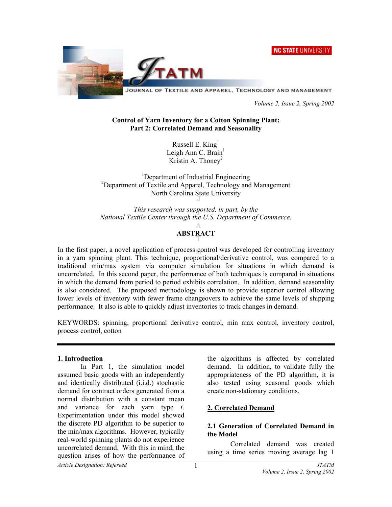**NC STATE UNIVERSITY** 



JOURNAL OF TEXTILE AND APPAREL, TECHNOLOGY AND MANAGEMENT

 *Volume 2, Issue 2, Spring 2002* 

#### **Control of Yarn Inventory for a Cotton Spinning Plant: Part 2: Correlated Demand and Seasonality**

Russell E.  $King<sup>1</sup>$ Leigh Ann C. Brain<sup>1</sup> Kristin A. Thoney<sup>2</sup>

<sup>1</sup>Department of Industrial Engineering <sup>2</sup>Department of Textile and Apparel, Technology and Management North Carolina State University

*This research was supported, in part, by the National Textile Center through the U.S. Department of Commerce.* 

# **ABSTRACT**

In the first paper, a novel application of process control was developed for controlling inventory in a yarn spinning plant. This technique, proportional/derivative control, was compared to a traditional min/max system via computer simulation for situations in which demand is uncorrelated. In this second paper, the performance of both techniques is compared in situations in which the demand from period to period exhibits correlation. In addition, demand seasonality is also considered. The proposed methodology is shown to provide superior control allowing lower levels of inventory with fewer frame changeovers to achieve the same levels of shipping performance. It also is able to quickly adjust inventories to track changes in demand.

KEYWORDS: spinning, proportional derivative control, min max control, inventory control, process control, cotton

## **1. Introduction**

In Part 1, the simulation model assumed basic goods with an independently and identically distributed (i.i.d.) stochastic demand for contract orders generated from a normal distribution with a constant mean and variance for each yarn type *i*. Experimentation under this model showed the discrete PD algorithm to be superior to the min/max algorithms. However, typically real-world spinning plants do not experience uncorrelated demand. With this in mind, the question arises of how the performance of

the algorithms is affected by correlated demand. In addition, to validate fully the appropriateness of the PD algorithm, it is also tested using seasonal goods which create non-stationary conditions.

## **2. Correlated Demand**

#### **2.1 Generation of Correlated Demand in the Model**

 Correlated demand was created using a time series moving average lag 1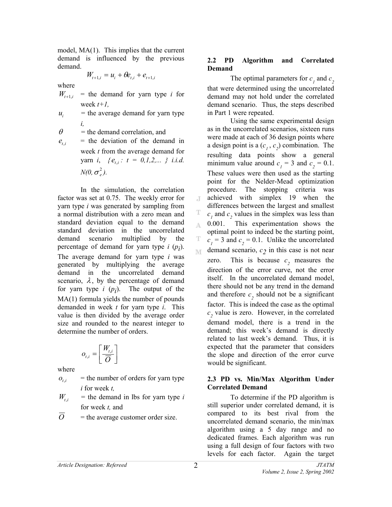model, MA(1). This implies that the current demand is influenced by the previous demand.

$$
W_{t+1,i} = u_i + \theta e_{t,i} + e_{t+1,i}
$$

where

- $W_{i+1,i}$  = the demand for yarn type *i* for week *t+1,*
- $u_i$  = the average demand for yarn type *i,*
- $\theta$  = the demand correlation, and
- $e_{ij}$  = the deviation of the demand in week *t* from the average demand for yarn *i*,  $\{e_{t,i}: t = 0,1,2,...\}$  *i.i.d.*  $N(0, \sigma_e^2)$ .

In the simulation, the correlation factor was set at 0.75. The weekly error for yarn type *i* was generated by sampling from a normal distribution with a zero mean and standard deviation equal to the demand standard deviation in the uncorrelated demand scenario multiplied by the percentage of demand for yarn type *i* (*pi*). The average demand for yarn type *i* was generated by multiplying the average demand in the uncorrelated demand scenario,  $\lambda$ , by the percentage of demand for yarn type *i* (*pi*). The output of the MA(1) formula yields the number of pounds demanded in week *t* for yarn type *i*. This value is then divided by the average order size and rounded to the nearest integer to determine the number of orders.

$$
o_{t,i} = \left[\frac{W_{t,i}}{\overline{O}}\right]
$$

where

- $o_{t,i}$  = the number of orders for yarn type *i* for week *t,*
- $W_{t,i}$  = the demand in lbs for yarn type *i* for week *t,* and
- $\overline{O}$  = the average customer order size.

# **2.2 PD Algorithm and Correlated Demand**

The optimal parameters for  $c_1$  and  $c_2$ that were determined using the uncorrelated demand may not hold under the correlated demand scenario. Thus, the steps described in Part 1 were repeated.

 Using the same experimental design as in the uncorrelated scenarios, sixteen runs were made at each of 36 design points where a design point is a  $(c_1, c_2)$  combination. The resulting data points show a general minimum value around  $c_1 = 3$  and  $c_2 = 0.1$ . These values were then used as the starting point for the Nelder-Mead optimization procedure. The stopping criteria was achieved with simplex 19 when the differences between the largest and smallest  $c_1$  and  $c_2$  values in the simplex was less than 0.001. This experimentation shows the optimal point to indeed be the starting point,  $c_1$  = 3 and  $c_2$  = 0.1. Unlike the uncorrelated demand scenario, *c2* in this case is not near M zero. This is because  $c_2$  measures the direction of the error curve, not the error itself. In the uncorrelated demand model, there should not be any trend in the demand and therefore  $c_2$  should not be a significant factor. This is indeed the case as the optimal  $c_2$  value is zero. However, in the correlated demand model, there is a trend in the demand; this week's demand is directly related to last week's demand. Thus, it is expected that the parameter that considers the slope and direction of the error curve would be significant.

# **2.3 PD vs. Min/Max Algorithm Under Correlated Demand**

 To determine if the PD algorithm is still superior under correlated demand, it is compared to its best rival from the uncorrelated demand scenario, the min/max algorithm using a 5 day range and no dedicated frames. Each algorithm was run using a full design of four factors with two levels for each factor. Again the target

J.

A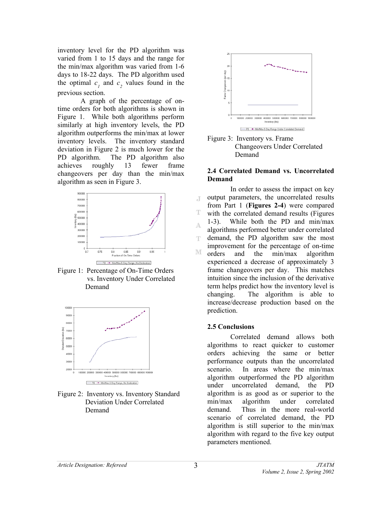inventory level for the PD algorithm was varied from 1 to 15 days and the range for the min/max algorithm was varied from 1-6 days to 18-22 days. The PD algorithm used the optimal  $c_1$  and  $c_2$  values found in the previous section.

 A graph of the percentage of ontime orders for both algorithms is shown in Figure 1. While both algorithms perform similarly at high inventory levels, the PD algorithm outperforms the min/max at lower inventory levels. The inventory standard deviation in Figure 2 is much lower for the PD algorithm. The PD algorithm also achieves roughly 13 fewer frame changeovers per day than the min/max algorithm as seen in Figure 3.



Figure 1: Percentage of On-Time Orders vs. Inventory Under Correlated Demand



Figure 2: Inventory vs. Inventory Standard Deviation Under Correlated Demand



Figure 3: Inventory vs. Frame Changeovers Under Correlated Demand

#### **2.4 Correlated Demand vs. Uncorrelated Demand**

 In order to assess the impact on key output parameters, the uncorrelated results J from Part 1 (**Figures 2-4**) were compared T with the correlated demand results (Figures 1-3). While both the PD and min/max A algorithms performed better under correlated demand, the PD algorithm saw the most т. improvement for the percentage of on-time M orders and the min/max algorithm experienced a decrease of approximately 3 frame changeovers per day. This matches intuition since the inclusion of the derivative term helps predict how the inventory level is changing. The algorithm is able to increase/decrease production based on the prediction.

#### **2.5 Conclusions**

 Correlated demand allows both algorithms to react quicker to customer orders achieving the same or better performance outputs than the uncorrelated scenario. In areas where the min/max algorithm outperformed the PD algorithm under uncorrelated demand, the PD algorithm is as good as or superior to the min/max algorithm under correlated demand. Thus in the more real-world scenario of correlated demand, the PD algorithm is still superior to the min/max algorithm with regard to the five key output parameters mentioned.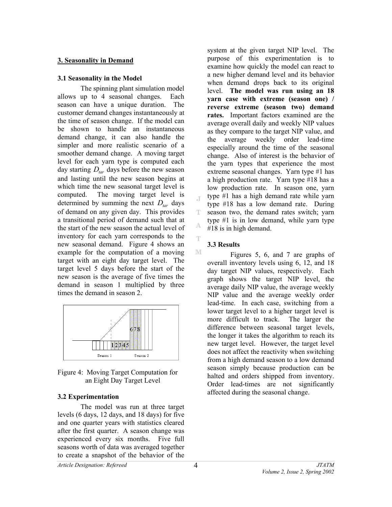## **3. Seasonality in Demand**

# **3.1 Seasonality in the Model**

 The spinning plant simulation model allows up to 4 seasonal changes. Each season can have a unique duration. The customer demand changes instantaneously at the time of season change. If the model can be shown to handle an instantaneous demand change, it can also handle the simpler and more realistic scenario of a smoother demand change. A moving target level for each yarn type is computed each day starting  $D_{tar}$  days before the new season and lasting until the new season begins at which time the new seasonal target level is computed. The moving target level is determined by summing the next  $D_{tar}$  days of demand on any given day. This provides a transitional period of demand such that at the start of the new season the actual level of inventory for each yarn corresponds to the new seasonal demand. Figure 4 shows an example for the computation of a moving target with an eight day target level. The target level 5 days before the start of the new season is the average of five times the demand in season 1 multiplied by three times the demand in season 2.





## **3.2 Experimentation**

 The model was run at three target levels (6 days, 12 days, and 18 days) for five and one quarter years with statistics cleared after the first quarter. A season change was experienced every six months. Five full seasons worth of data was averaged together to create a snapshot of the behavior of the

system at the given target NIP level. The purpose of this experimentation is to examine how quickly the model can react to a new higher demand level and its behavior when demand drops back to its original level. **The model was run using an 18 yarn case with extreme (season one) / reverse extreme (season two) demand rates.** Important factors examined are the average overall daily and weekly NIP values as they compare to the target NIP value, and the average weekly order lead-time especially around the time of the seasonal change. Also of interest is the behavior of the yarn types that experience the most extreme seasonal changes. Yarn type #1 has a high production rate. Yarn type #18 has a low production rate. In season one, yarn type #1 has a high demand rate while yarn type #18 has a low demand rate. During season two, the demand rates switch; yarn type #1 is in low demand, while yarn type #18 is in high demand.

# **3.3 Results**

 $\overline{A}$ 

T

A Ŧ

M

 Figures 5, 6, and 7 are graphs of overall inventory levels using 6, 12, and 18 day target NIP values, respectively. Each graph shows the target NIP level, the average daily NIP value, the average weekly NIP value and the average weekly order lead-time. In each case, switching from a lower target level to a higher target level is more difficult to track. The larger the difference between seasonal target levels, the longer it takes the algorithm to reach its new target level. However, the target level does not affect the reactivity when switching from a high demand season to a low demand season simply because production can be halted and orders shipped from inventory. Order lead-times are not significantly affected during the seasonal change.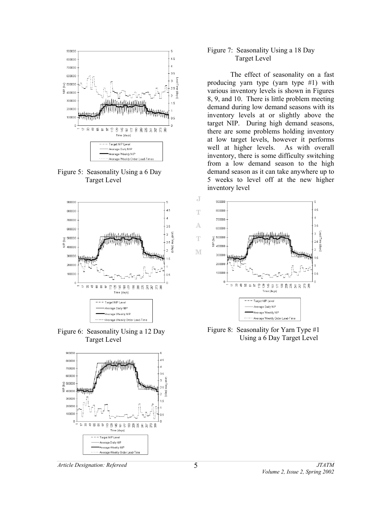

Figure 5: Seasonality Using a 6 Day Target Level



Figure 6: Seasonality Using a 12 Day Target Level



#### Figure 7: Seasonality Using a 18 Day Target Level

 The effect of seasonality on a fast producing yarn type (yarn type #1) with various inventory levels is shown in Figures 8, 9, and 10. There is little problem meeting demand during low demand seasons with its inventory levels at or slightly above the target NIP. During high demand seasons, there are some problems holding inventory at low target levels, however it performs well at higher levels. As with overall inventory, there is some difficulty switching from a low demand season to the high demand season as it can take anywhere up to 5 weeks to level off at the new higher inventory level



Figure 8: Seasonality for Yarn Type #1 Using a 6 Day Target Level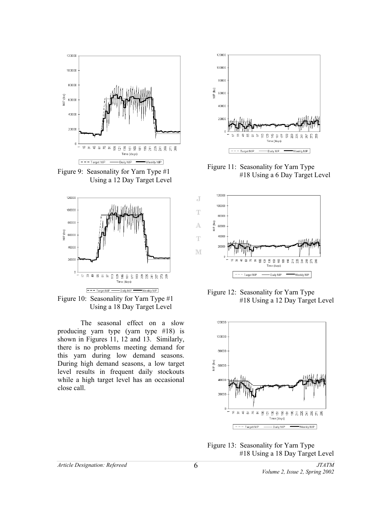

Figure 9: Seasonality for Yarn Type #1 Using a 12 Day Target Level



Figure 10: Seasonality for Yarn Type #1 Using a 18 Day Target Level

 The seasonal effect on a slow producing yarn type (yarn type #18) is shown in Figures 11, 12 and 13. Similarly, there is no problems meeting demand for this yarn during low demand seasons. During high demand seasons, a low target level results in frequent daily stockouts while a high target level has an occasional close call.



Figure 11: Seasonality for Yarn Type #18 Using a 6 Day Target Level



Figure 12: Seasonality for Yarn Type #18 Using a 12 Day Target Level



Figure 13: Seasonality for Yarn Type #18 Using a 18 Day Target Level